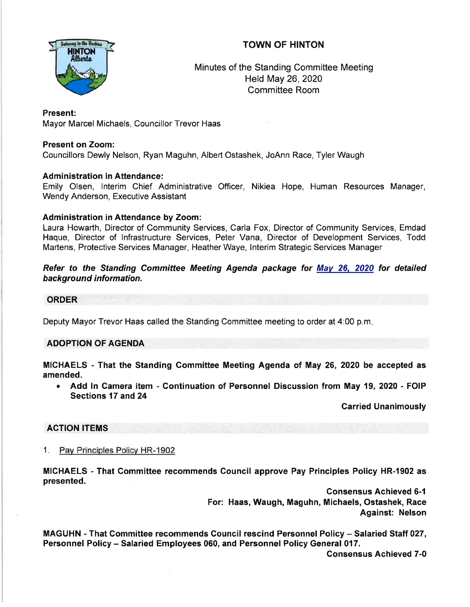# TOWN OF HINTON



Minutes of the Standing Committee Meeting Held May 26,2020 Committee Room

# Present:

Mayor Marcel Michaels, Councillor Trevor Haas

# Present on Zoom:

Councillors Dewly Nelson, Ryan Maguhn, Albert Ostashek, JoAnn Race, Tyler Waugh

# Administration in Attendance:

Emily Olsen, lnterim Chief Administrative Officer, Nikiea Hope, Human Resources Manager, Wendy Anderson, Executive Assistant

# Administration in Attendance by Zoom:

Laura Howarth, Director of Community Services, Carla Fox, Director of Community Services, Emdad Haque, Director of lnfrastructure Services, Peter Vana, Director of Development Services, Todd Martens, Protective Services Manager, Heather Waye, lnterim Strategic Services Manager

Refer to the Standing Committee Meeting Agenda package for Mav 26, 2020 for detailed background information.

#### **ORDER**

Deputy Mayor Trevor Haas called the Standing Committee meeting to order at 4:00 p.m

### ADOPTION OF AGENDA

MICHAELS - That the Standing Committee Meeting Agenda of May 26, 2020 be accepted as amended.

• Add In Camera item - Continuation of Personnel Discussion from May 19, 2020 - FOIP Sections 17 and 24

Carried Unanimously

### ACTION ITEMS

1. Pav Princioles Policv HR-1902

MICHAELS - That Gommittee recommends Council approve Pay Principles Policy HR-1902 as presented.

> consensus Achieved 6-1 For: Haas, Waugh, Maguhn, Michaels, Ostashek, Race Against: Nelson

MAGUHN - That Gommittee recommends Gouncil rescind Personnel Policy - Salaried Staff 027, Personnel Policy - Salaried Employees 060, and Personnel Policy General 017.

Consensus Achieved 7-0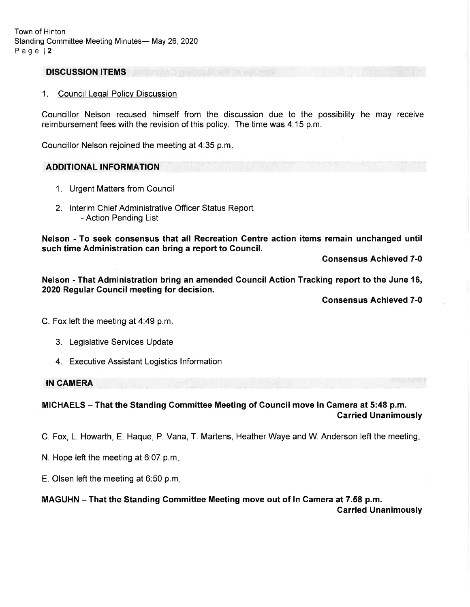#### DISCUSSION ITEMS

#### 1. Council Leqal Policy Discussion

Councillor Nelson recused himself from the discussion due to the possibility he may receive reimbursement fees with the revision of this policy. The time was 4:15 p.m.

Councillor Nelson rejoined the meeting at 4:35 p.m

#### ADDITIONAL INFORMATION

- 1. Urgent Matters from Council
- 2. lnterim Chief Administrative Officer Status Report - Action Pending List

Nelson - To seek consensus that all Recreation Centre action items remain unchanged until such time Administration can bring a report to Council.

Consensus Achieved 7-0

Nelson - That Administration bring an amended Council Action Tracking report to the June 16, 2020 Regular Gouncil meeting for decision.

Consensus Achieved 7-0

C. Fox left the meeting at 4:49 p.m.

- 3. Legislative Services Update
- 4. Executive Assistant Logistics lnformation

IN CAMERA

### MIGHAELS - That the Standing Commiftee Meeting of Council move ln Camera at 5:48 p.m. Carried Unanimously

C. Fox, L. Howarth, E. Haque, P. Vana, T. Martens, Heather Waye and W. Anderson left the meeting

- N. Hope left the meeting at 6:07 p.m
- E. Olsen left the meeting at 6.50 p.m

#### MAGUHN - That the Standing Committee Meeting move out of ln Camera at 7.58 p.m.

Carried Unanimously